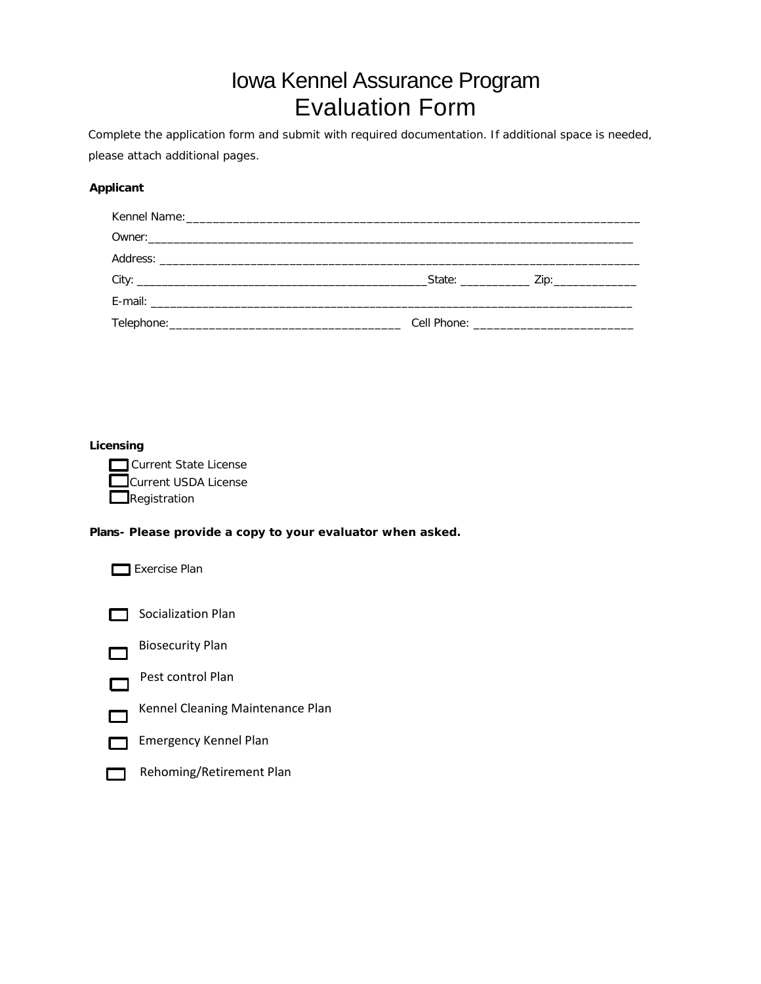# Iowa Kennel Assurance Program Evaluation Form

*Complete the application form and submit with required documentation. If additional space is needed, please attach additional pages.*

#### **Applicant**

|  | <b>Cell Phone: Cell Phone: Cell Phone: Cell Phone: Cell Phone: Cell Phone: Cell Phone: Cell Phone: Cell Phone: Cell Phone: Cell Phone: Cell Phone: Cell Phone: Cell Phone: Cell Phone: Cell Phone:</b> |
|--|--------------------------------------------------------------------------------------------------------------------------------------------------------------------------------------------------------|

#### **Licensing**

| Current State License                               |
|-----------------------------------------------------|
| $\mathsf{\mathbf{\mathsf{I}}}$ Current USDA License |
| Registration                                        |

#### **Plans- Please provide a copy to your evaluator when asked.**

Exercise Plan



Socialization Plan



Pest control Plan



 $\Box$ 

Emergency Kennel Plan 冖



Rehoming/Retirement Plan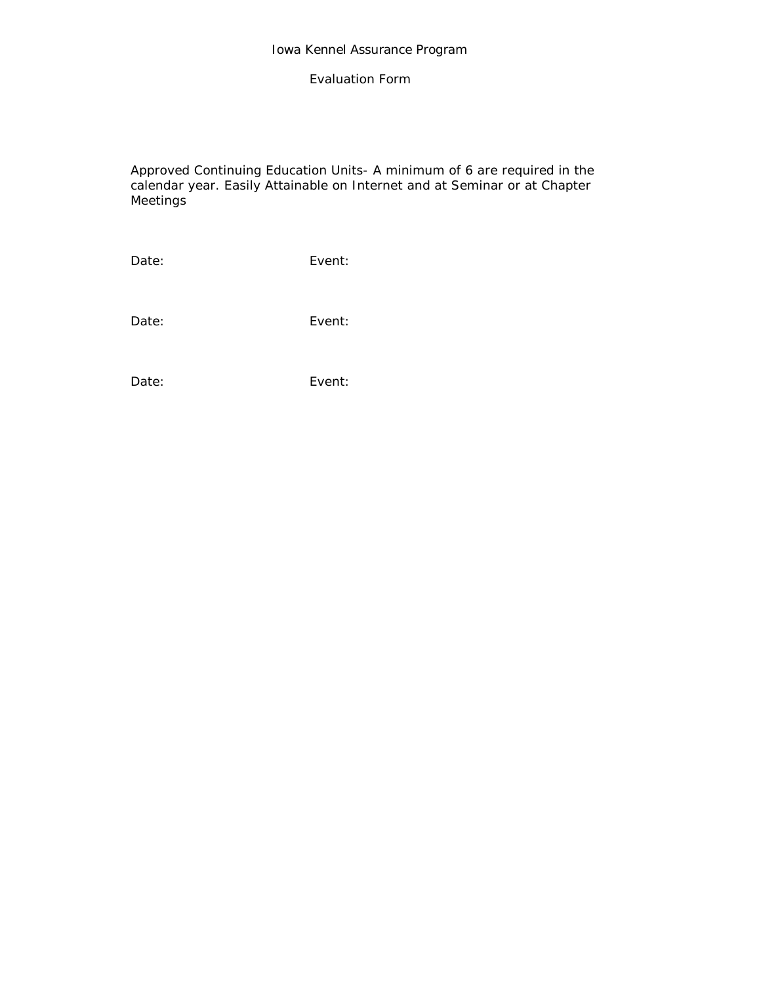### Evaluation Form

Approved Continuing Education Units- A minimum of 6 are required in the calendar year. Easily Attainable on Internet and at Seminar or at Chapter **Meetings** 

Date: Event:

Date: Event:

Date: Event: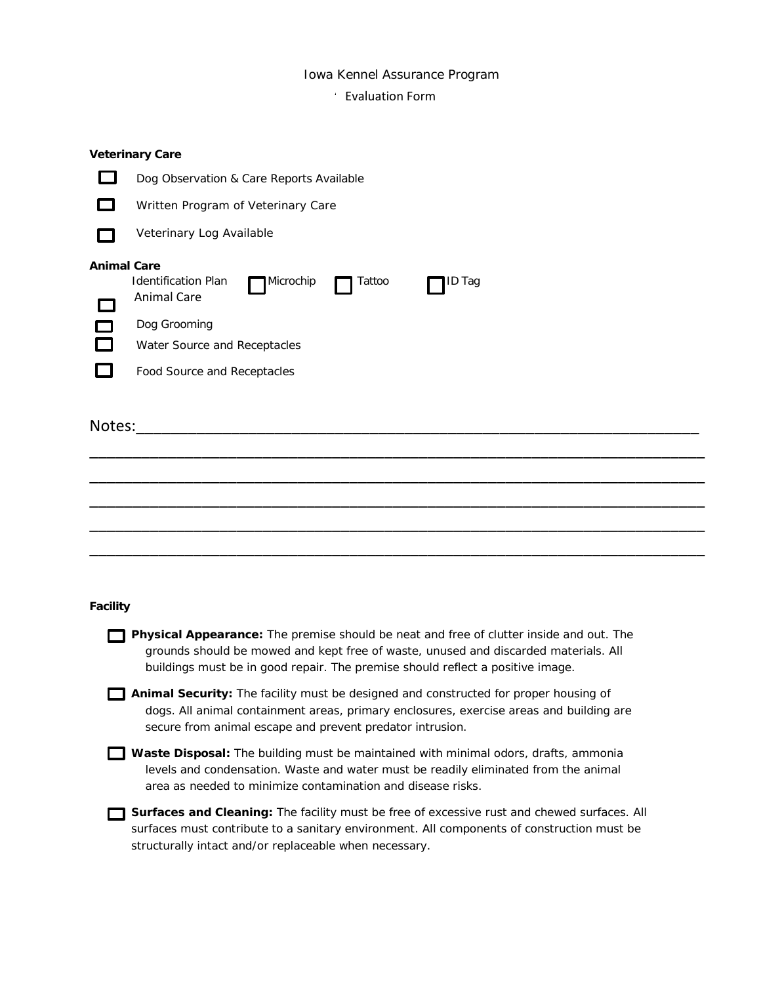#### Iowa Kennel Assurance Program

## **Evaluation Form**

|                    | <b>Veterinary Care</b>                                                                                                                                                                                                                                           |
|--------------------|------------------------------------------------------------------------------------------------------------------------------------------------------------------------------------------------------------------------------------------------------------------|
|                    | Dog Observation & Care Reports Available                                                                                                                                                                                                                         |
|                    | Written Program of Veterinary Care                                                                                                                                                                                                                               |
|                    | Veterinary Log Available                                                                                                                                                                                                                                         |
| <b>Animal Care</b> | <b>Identification Plan</b><br>Microchip<br>Tattoo<br>ID Tag<br><b>Animal Care</b>                                                                                                                                                                                |
|                    | Dog Grooming<br>Water Source and Receptacles                                                                                                                                                                                                                     |
|                    | Food Source and Receptacles                                                                                                                                                                                                                                      |
| Notes:             | <u> 1980 - Jan James James, martin amerikan basar dan bagi dan bagi dari dalam basar dan bagi dalam bagi dalam ba</u>                                                                                                                                            |
|                    |                                                                                                                                                                                                                                                                  |
|                    |                                                                                                                                                                                                                                                                  |
|                    |                                                                                                                                                                                                                                                                  |
|                    |                                                                                                                                                                                                                                                                  |
|                    |                                                                                                                                                                                                                                                                  |
| <b>Facility</b>    |                                                                                                                                                                                                                                                                  |
|                    | Physical Appearance: The premise should be neat and free of clutter inside and out. The<br>grounds should be mowed and kept free of waste, unused and discarded materials. All<br>buildings must be in good repair. The premise should reflect a positive image. |
|                    | Animal Security: The facility must be designed and constructed for proper housing of<br>dogs. All animal containment areas, primary enclosures, exercise areas and building are<br>secure from animal escape and prevent predator intrusion.                     |
|                    | Waste Disposal: The building must be maintained with minimal odors, drafts, ammonia<br>levels and condensation. Waste and water must be readily eliminated from the animal<br>area as needed to minimize contamination and disease risks.                        |

**Surfaces and Cleaning:** The facility must be free of excessive rust and chewed surfaces. All surfaces must contribute to a sanitary environment. All components of construction must be structurally intact and/or replaceable when necessary.